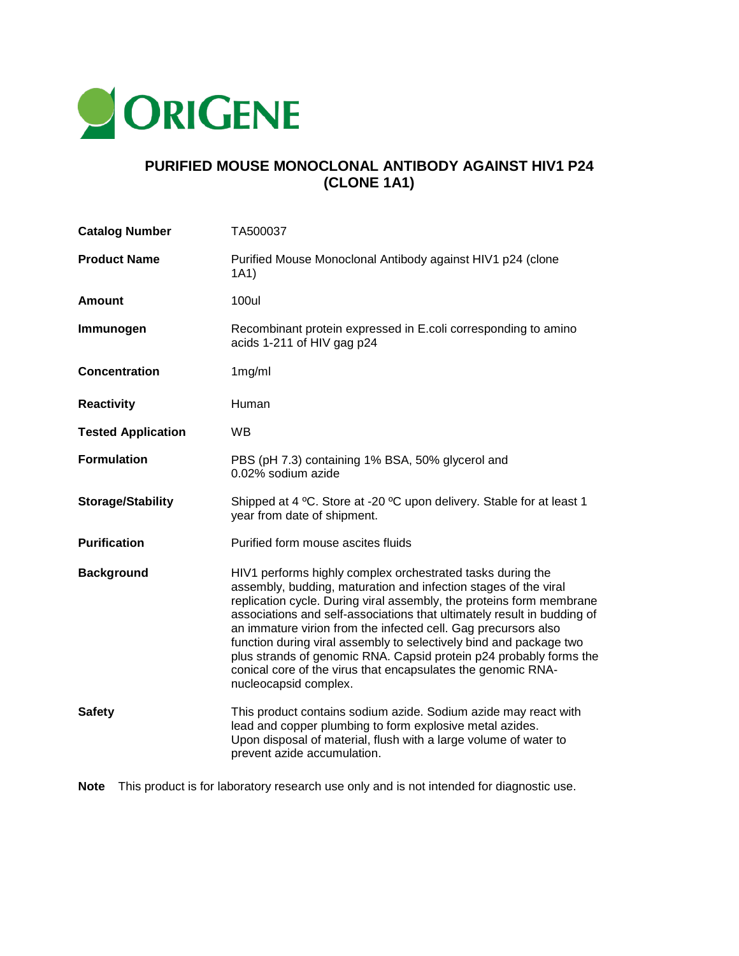

## **PURIFIED MOUSE MONOCLONAL ANTIBODY AGAINST HIV1 P24 (CLONE 1A1)**

| <b>Catalog Number</b>     | TA500037                                                                                                                                                                                                                                                                                                                                                                                                                                                                                                                                                                                |
|---------------------------|-----------------------------------------------------------------------------------------------------------------------------------------------------------------------------------------------------------------------------------------------------------------------------------------------------------------------------------------------------------------------------------------------------------------------------------------------------------------------------------------------------------------------------------------------------------------------------------------|
| <b>Product Name</b>       | Purified Mouse Monoclonal Antibody against HIV1 p24 (clone<br>1A1)                                                                                                                                                                                                                                                                                                                                                                                                                                                                                                                      |
| <b>Amount</b>             | <b>100ul</b>                                                                                                                                                                                                                                                                                                                                                                                                                                                                                                                                                                            |
| Immunogen                 | Recombinant protein expressed in E.coli corresponding to amino<br>acids 1-211 of HIV gag p24                                                                                                                                                                                                                                                                                                                                                                                                                                                                                            |
| <b>Concentration</b>      | 1mg/ml                                                                                                                                                                                                                                                                                                                                                                                                                                                                                                                                                                                  |
| <b>Reactivity</b>         | Human                                                                                                                                                                                                                                                                                                                                                                                                                                                                                                                                                                                   |
| <b>Tested Application</b> | <b>WB</b>                                                                                                                                                                                                                                                                                                                                                                                                                                                                                                                                                                               |
| <b>Formulation</b>        | PBS (pH 7.3) containing 1% BSA, 50% glycerol and<br>0.02% sodium azide                                                                                                                                                                                                                                                                                                                                                                                                                                                                                                                  |
| <b>Storage/Stability</b>  | Shipped at 4 °C. Store at -20 °C upon delivery. Stable for at least 1<br>year from date of shipment.                                                                                                                                                                                                                                                                                                                                                                                                                                                                                    |
| <b>Purification</b>       | Purified form mouse ascites fluids                                                                                                                                                                                                                                                                                                                                                                                                                                                                                                                                                      |
| <b>Background</b>         | HIV1 performs highly complex orchestrated tasks during the<br>assembly, budding, maturation and infection stages of the viral<br>replication cycle. During viral assembly, the proteins form membrane<br>associations and self-associations that ultimately result in budding of<br>an immature virion from the infected cell. Gag precursors also<br>function during viral assembly to selectively bind and package two<br>plus strands of genomic RNA. Capsid protein p24 probably forms the<br>conical core of the virus that encapsulates the genomic RNA-<br>nucleocapsid complex. |
| <b>Safety</b>             | This product contains sodium azide. Sodium azide may react with<br>lead and copper plumbing to form explosive metal azides.<br>Upon disposal of material, flush with a large volume of water to<br>prevent azide accumulation.                                                                                                                                                                                                                                                                                                                                                          |

**Note** This product is for laboratory research use only and is not intended for diagnostic use.